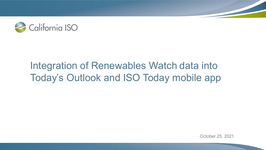

# Integration of Renewables Watch data into Today's Outlook and ISO Today mobile app

ISO PUBLIC

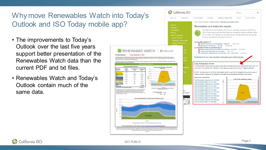# Why move Renewables Watch into Today's Outlook and ISO Today mobile app?

- The improvements to Today's Outlook over the last five years support better presentation of the Renewables Watch data than the current PDF and txt files.
- Renewables Watch and Today's Outlook contain much of the same data.





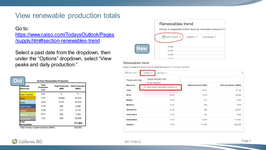# View renewable production totals

Go to:

[https://www.caiso.com/TodaysOutlook/Pages](https://www.caiso.com/TodaysOutlook/Pages/supply.html#section-renewables-trend) /supply.html#section-renewables-trend

Select a past date from the dropdown, then under the "Options" dropdown, select "View peaks and daily production."

| <b>IKenewable</b><br><b>Resources</b> | Peak<br>Production<br>Time | <b>Peak Production</b><br>(MW) | <b>Daily Production</b><br>(MWh) |
|---------------------------------------|----------------------------|--------------------------------|----------------------------------|
| <b>Solar Thermal</b>                  | 0:00                       | 0                              | 0                                |
| Solar                                 | 11:57                      | 10.626                         | 91.612                           |
| Wind                                  | 18:29                      | 2,714                          | 42.010                           |
| Small Hydro                           | 17:22                      | 205                            | 3.429                            |
| Biogas                                | 19:30                      | 217                            | 5.112                            |
|                                       | 23:57                      | 326                            | 7,523                            |
| eothermal                             | 7:28                       | 939                            | 22,236                           |
| Total<br><b>Renewables</b>            |                            |                                | 171,922                          |
| Total 24-Hour System Demand (MWh):    |                            |                                | 629.592                          |



#### Renewables trend

Energy in megawatts broken down by renewable resource in 5-minute increments.

|                | Toggle stacked chart              |                      |                        |
|----------------|-----------------------------------|----------------------|------------------------|
| Peaks and dail | u<br>Show demand                  |                      | ×                      |
| Resource       | ○ View peaks and daily production | Peak production (MW) | Daily production (MWH) |
| Solar          | $1.1 - 1.1$                       | 10,631               | 91,140                 |
| Wind           | 00:00                             | 2,723                | 42,632                 |
| <b>Biogas</b>  | 19:30                             | 217                  | 5,105                  |
| <b>Biomass</b> | 23:42                             | 324                  | 7,474                  |
| Geothermal     | 07:28                             | 939                  | 22,237                 |
| Small hydro    | 17:22                             | 205                  | 3,439                  |
| Renewables     | 12:00                             | 12,990               | 172,057                |
| Demand         | 17:58                             | 31,381               | 623,225                |

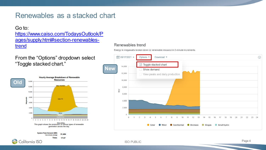### Renewables as a stacked chart

### Go to:

### [https://www.caiso.com/TodaysOutlook/P](https://www.caiso.com/TodaysOutlook/Pages/supply.html#section-renewables-trend) ages/supply.html#section-renewables**trend**

From the "Options" dropdown select "Toggle stacked chart."



#### Renewables trend

Energy in megawatts broken down by renewable resource in 5-minute increments.

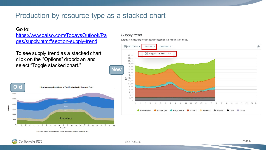# Production by resource type as a stacked chart

### Go to:

[https://www.caiso.com/TodaysOutlook/Pa](https://www.caiso.com/TodaysOutlook/Pages/supply.html#section-supply-trend) ges/supply.html#section-supply-trend

To see supply trend as a stacked chart, click on the "Options" dropdown and select "Toggle stacked chart."



#### Supply trend

Energy in megawatts broken down by resource in 5-minute increments.



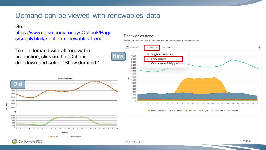# Demand can be viewed with renewables data

### Go to:

California ISO

[https://www.caiso.com/TodaysOutlook/Page](https://www.caiso.com/TodaysOutlook/Pages/supply.html#section-renewables-trend) s/supply.html#section-renewables-trend

To see demand with all renewable production, click on the "Options" dropdown and select "Show demand."



RENEWABLE TOTAL

#### Renewables trend

Energy in megawatts broken down by renewable resource in 5-minute increments

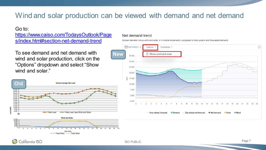# Wind and solar production can be viewed with demand and net demand

### Go to:

[https://www.caiso.com/TodaysOutlook/Page](https://www.caiso.com/TodaysOutlook/Pages/index.html#section-net-demand-trend) s/index.html#section-net-demand-trend

To see demand and net demand with wind and solar production, click on the "Options" dropdown and select "Show wind and solar."





#### Net demand trend

System demand minus wind and solar, in 5-minute increments, compared to total system and forecasted demand